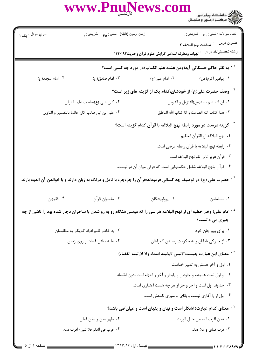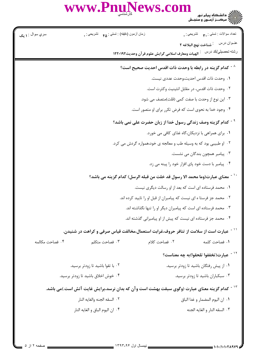WWW.PnuNews.com

| سري سوال : <b>۱ يک</b> |                                    | زمان أزمون (دقيقه) : تستى : ۴۵ — تشريحي : . |                                                                                                           | نعداد سوالات : تستي : ٣. تشريحي : .               |
|------------------------|------------------------------------|---------------------------------------------|-----------------------------------------------------------------------------------------------------------|---------------------------------------------------|
|                        |                                    |                                             |                                                                                                           |                                                   |
|                        |                                    |                                             | الهيات ومعارف اسلامي گرايش علوم قرآن وحديث١٢٢٠١٩٢                                                         | رشته تحصبل <i>ي </i> كد درس                       |
|                        |                                    |                                             | <sup>^ -</sup> كدام گزينه در رابطه با وحدت ذات اقدس احديت صحيح است؟                                       |                                                   |
|                        |                                    |                                             | ٠١. وحدت ذات اقدس احديت،وحدت عددى نيست.                                                                   |                                                   |
|                        |                                    |                                             | ٠٢ وحدت ذات اقدس، در مقابل انثينيت وكثرت است.                                                             |                                                   |
|                        |                                    |                                             | ۰۳ این نوع از وحدت با صفت کمی (قلت)متصف می شود.                                                           |                                                   |
|                        |                                    |                                             | ۰۴ وجود خدا به نحوی است که فرض تکرر برای او متصور است.                                                    |                                                   |
|                        |                                    |                                             | <sup>9 -</sup> كدام گزينه وصف زندگی رسول خدا از زبان حضرت علی نمی باشد؟                                   |                                                   |
|                        |                                    |                                             | ٠١. براي همراهي با نزديكان،گاه غذاي كافي مي خورد.                                                         |                                                   |
|                        |                                    |                                             | ۰۲ او طبیبی بود که به وسیله طب و معالجه ی خود،همواره گردش می کرد.                                         |                                                   |
|                        |                                    |                                             |                                                                                                           | ۰۳ پیامبر همچون بندگان می نشست.                   |
|                        |                                    |                                             | ۰۴ پیامبر با دست خود پای افزار خود را پینه می زد.                                                         |                                                   |
|                        |                                    |                                             | ً ` ` معناى عبارت(وما محمد الا رسول قد خلت من قبله الرسل) كدام گزينه مى باشد؟                             |                                                   |
|                        |                                    |                                             | ۰۱ محمد فرستاده ای است که بعد از او رسالت دیگری نیست.                                                     |                                                   |
|                        |                                    |                                             | ۰۲ محمد جز فرستا ه ای نیست که پیامبران از قبل او را تایید کرده اند.                                       |                                                   |
|                        |                                    |                                             | ۰۳ محمد فرستاده ای است که پیامبران دیگر او را تنها نگذاشته اند.                                           |                                                   |
|                        |                                    |                                             | ۰۴ محمد جز فرستاده ای نیست که پیش از او پیامبرانی گذشته اند.                                              |                                                   |
|                        |                                    |                                             | <sup>۱۱ -</sup> عبارت است از سلامت از تنافر حروف،غرابت استعمال،مخالفت قیاس صرفی و کراهت در شنیدن.         |                                                   |
| ۰۴ فصاحت مكالمه        | ۰۳ فصاحت متكلم                     |                                             | ٢. فصاحت كلام                                                                                             | ١. فصاحت كلمه                                     |
|                        |                                    |                                             |                                                                                                           | <sup>۱۲ -</sup> عبارت(تخففوا تلحقوا)به چه معناست؟ |
|                        | ۰۲ با تقوا باشید تا زودتر برسید.   |                                             | ۰۱ از پیش رفتگان باشید تا زودتر برسید.                                                                    |                                                   |
|                        | ۰۴ خوش اخلاق باشید تا زودتر برسید. |                                             |                                                                                                           | ۰۳ سبکباران باشید تا زودتر برسید.                 |
|                        |                                    |                                             | <sup>۱۳ -</sup> کدام گزینه معنای عبارت (وگوی سبقت بهشت است و آن که بدان نرسد،برایش غایت آتش است.)می باشد. |                                                   |
|                        | ٢. السقه الجنه والغايه النار       |                                             |                                                                                                           | ٠١. ان اليوم المضمار و غدا الباق                  |
|                        | ۰۴ ان اليوم الباق و الغايه النار   |                                             |                                                                                                           | ٠٣ السقه النار و الغايه الجنه                     |
|                        |                                    |                                             |                                                                                                           |                                                   |
|                        |                                    |                                             |                                                                                                           |                                                   |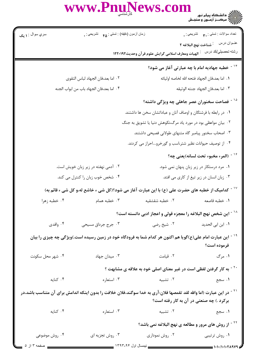|                                                                                                                                                                             | WWW.PnuNews.com                                                               |                                                                | ے :<br>حکالات دانشگاہ پیام نور<br>حکالات مرکبز آزمیوں و سنجش                    |  |  |
|-----------------------------------------------------------------------------------------------------------------------------------------------------------------------------|-------------------------------------------------------------------------------|----------------------------------------------------------------|---------------------------------------------------------------------------------|--|--|
| سري سوال : <b>۱ يک</b>                                                                                                                                                      | زمان أزمون (دقيقه) : تستي : ۴۵ $\bullet$ تشريحي : .                           |                                                                | تعداد سوالات : تستبي : ٣ <b>. س</b> تشريحي : .                                  |  |  |
|                                                                                                                                                                             |                                                                               |                                                                | عنـوان درس         شناخت نهج البلاغه ٢                                          |  |  |
|                                                                                                                                                                             |                                                                               | الهيات ومعارف اسلامي گرايش علوم قرآن وحديث١٢٢٠١٩٢              | رشته تحصيلي/كد درس                                                              |  |  |
|                                                                                                                                                                             |                                                                               |                                                                | <sup>۱۴ -</sup> خطبه جهادیه امام با چه عبارتی آغاز می شود؟                      |  |  |
|                                                                                                                                                                             | ٢. اما بعد،فان الجهاد لباس التقوى                                             |                                                                | ٠١. اما بعد،فان الجهاد فتحه الله لخاصه اوليائه                                  |  |  |
|                                                                                                                                                                             | ۰۴ اما بعد،فان الجهاد باب من ابواب الجنه                                      |                                                                | ٠٣ اما بعد،فان الجهاد جنته الوثيقه                                              |  |  |
|                                                                                                                                                                             |                                                                               |                                                                | <sup>۱۵ -</sup> فصاحت سخنوران عصر جاهلی چه ویژگی داشته؟                         |  |  |
|                                                                                                                                                                             |                                                                               | ۰۱ در رابطه با فرشتگان و اوصاف آنان و عباداتشان سخن ها داشتند. |                                                                                 |  |  |
| ۰۲ بیان مواعظی بود در مورد یاد مرگ،نکوهش دنیا یا تشویق به جنگ                                                                                                               |                                                                               |                                                                |                                                                                 |  |  |
|                                                                                                                                                                             |                                                                               |                                                                | ۰۳ اصحاب سخنور پیامبر گاه متنهای طولانی فصیحی داشتند.                           |  |  |
|                                                                                                                                                                             |                                                                               | ۰۴ از توصیف حیوانات نظیر شتر،اسب و گورخرو…احراز می کردند.      |                                                                                 |  |  |
|                                                                                                                                                                             |                                                                               |                                                                | <sup>۱۶ -</sup> (المرء مخبوء تحت لسانه)يعنى چه؟                                 |  |  |
| ۰۲ آدمی نهفته در زیر زبان خویش است.                                                                                                                                         |                                                                               | ۰۱ مرد درستکار در زیر زبان پنهان نمی شود.                      |                                                                                 |  |  |
|                                                                                                                                                                             | ۰۴ شخص خوب زبان را کنترل می کند.<br>۰۳ زبان انسان در زیر تیغ از کاری می افتد. |                                                                |                                                                                 |  |  |
| کدامیک از خطبه های حضرت علی (ع) با این عبارت آغاز می شود؟(کل شی ء خاشع له،و کل شی ء قائم به)                                                                                |                                                                               |                                                                |                                                                                 |  |  |
| ۰۴ خطبه زهرا                                                                                                                                                                | ۰۳ خطبه همام                                                                  | ٢. خطبه شقشقيه                                                 | ٠١ خطبه قاصعه                                                                   |  |  |
|                                                                                                                                                                             |                                                                               |                                                                | <sup>۱۸ -</sup> این شخص نهج البلاغه را معجزه قولی و اعجاز ادبی دانسته است؟      |  |  |
| ۰۴ واقدي                                                                                                                                                                    | ۰۳ جرج جرداق مسیحی                                                            | ۰۲ شیخ رضی                                                     | ۰۱ ابن اب <i>ی</i> الحدید                                                       |  |  |
| <sup>۱۹ -</sup> این عبارت امام علی(ع)گویا هم اکنون هر کدام شما به فرودگاه خود در زمین رسیده است.)ویژگی چه چیزی را بیان<br>فرموده است؟                                       |                                                                               |                                                                |                                                                                 |  |  |
| ۰۴ شهر محل سکونت                                                                                                                                                            | ۰۳ میدان جهاد                                                                 | ۰۲ قیامت                                                       | ۰۱ مرگ                                                                          |  |  |
|                                                                                                                                                                             |                                                                               |                                                                | <sup>۲۰ -</sup> به کار گرفتن لفظی است در غیر معنای اصلی خود به علاقه ی مشابهت ؟ |  |  |
| ۰۴ کنایه                                                                                                                                                                    | ۰۳ استعاره                                                                    | ۰۲ تشبیه                                                       | ۰۱ سجع                                                                          |  |  |
| <sup>۲۱ -</sup> در این عبارت (اما والله لقد تقمصها فلان:آری به خدا سوگند،فلان خلافت را بدون اینکه اندامش برای آن متناسب باشد،در<br>برکرد .) چه صنعتی در آن به کار رفته است؟ |                                                                               |                                                                |                                                                                 |  |  |
| $\cdot$ کنایه                                                                                                                                                               | ۰۳ استعاره                                                                    | ۰۲ تشبیه                                                       | ۰۱ سجع                                                                          |  |  |
|                                                                                                                                                                             |                                                                               |                                                                | <sup>۲۲ -</sup> از روش های مرور و مطالعه ی نهج البلاغه نمی باشد؟                |  |  |
| ۰۴ روش موضوعی                                                                                                                                                               | ۰۳ روش تجزیه ای                                                               | ۰۲ روش نموداری                                                 | ۰۱ روش ترتیبی                                                                   |  |  |
| $\Delta$ if $\Delta$ and $\Delta$                                                                                                                                           |                                                                               |                                                                |                                                                                 |  |  |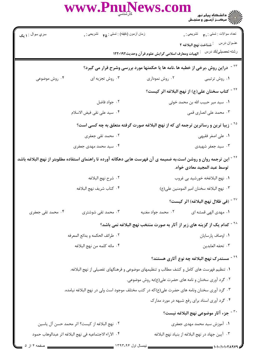| <b>WWW.P</b><br>کارشناسی                                                                       | ews.co                                                                                                                                                        |  |  |  |
|------------------------------------------------------------------------------------------------|---------------------------------------------------------------------------------------------------------------------------------------------------------------|--|--|--|
| زمان أزمون (دقيقه) : تستي : ۴۵ ٪ تشريحي : .                                                    | نعداد سوالات : تستبي : پم         تشريحي : .<br>عنــوان درس<br><sup>:</sup> شناخت نهج البلاغه ۲                                                               |  |  |  |
|                                                                                                | رشته تحصيلي/كد درس<br>الهيات ومعارف اسلامي گرايش علوم قرآن وحديث١٢٢٠١٩٢                                                                                       |  |  |  |
|                                                                                                | دراین روش ،برخی از خطبه ها ،نامه ها یا حکمتها مورد بررسی وشرح قرار می گیرد؟                                                                                   |  |  |  |
| ۰۳ روش تجزیه ای                                                                                | ۰۲ روش نموداری<br>۰۱ روش ترتیبی                                                                                                                               |  |  |  |
|                                                                                                | <sup>۲۴ -</sup> کتاب سخنان علی(ع) از نهج البلاغه اثر کیست؟                                                                                                    |  |  |  |
| ۰۲ جواد فاضل                                                                                   | ٠١ سيد مير حبيب الله بن محمد خوئي                                                                                                                             |  |  |  |
| ۴. سيد على نقى فيض الاسلام                                                                     | ۰۳ محمد علی انصاری قمی                                                                                                                                        |  |  |  |
| <sup>۲۵ -</sup> زیبا ترین و رساترین ترجمه ای که از نهج البلاغه صورت گرفته متعلق به چه کسی است؟ |                                                                                                                                                               |  |  |  |
| ۲. محمد تقی جعفری                                                                              | ۰۱ على اصغر فقيهي                                                                                                                                             |  |  |  |
| ۰۴ سید محمد مهدی جعفری                                                                         | ۰۳ سید جعفر شهیدی                                                                                                                                             |  |  |  |
|                                                                                                | <sup>۲۶ -</sup> این ترجمه روان و روشن است،به ضمیمه ی آن فهرست هایی دهگانه آورده تا راهنمای استفاده مطلوبتر از نهج البلاغه باشد<br>توسط عبد المجيد معادي خواه. |  |  |  |
| ٠٢ شرح نهج البلاغه                                                                             | ٠١. نهج البلاغخه خورشيد بي غروب                                                                                                                               |  |  |  |
| ۰۴ كتاب شريف نهج البلاغه                                                                       | ٠٣ نهج البلاغه سخنان امير المومنين على(ع)                                                                                                                     |  |  |  |
|                                                                                                | <sup>۲۷ -</sup> (فی ظلال نهج البلاغه) اثر کیست؟                                                                                                               |  |  |  |
| ۰۳ محمد تقی شوشتری                                                                             | ۰۲ محمد جواد مغنيه<br>۰۱ مهدی الهی قمشه ای                                                                                                                    |  |  |  |
| <sup>۲۸ -</sup> کدام یک از گزینه های زیر از آثار به صورت منتخب نهج البلاغه نمی باشد؟           |                                                                                                                                                               |  |  |  |
| ٠٢ طرائف الحكمه و بدائع المعرفه                                                                | ٠١ اوصاف پارسايان                                                                                                                                             |  |  |  |
| ۰۴ مائه كلمه من نهج البلاغه                                                                    | ٠٣ تحفه العابدين                                                                                                                                              |  |  |  |
|                                                                                                | <sup>۲۹ -</sup> مستدرک نهج البلاغه چه نوع آثاری هستند؟                                                                                                        |  |  |  |
|                                                                                                | ۱. تنظیم فهرست های کامل و کشف مطالب و تنظیمهای موضوعی و فرهنگهای تفصیلی از نهج البلاغه.                                                                       |  |  |  |
|                                                                                                | ۰۲ گرد آوری سخنان و نامه های حضرت علی(ع)به روش موضوعی.                                                                                                        |  |  |  |
|                                                                                                | ۰۳ گرد آوری سخنان ونامه های حضرت علی(ع)که در کتب مختلف موجود است ولی در نهج البلاغه نیامده.                                                                   |  |  |  |
|                                                                                                | ۰۴ گرد آوری اسناد برای رفع شبهه در مورد مدارک                                                                                                                 |  |  |  |
|                                                                                                | <sup>٣٠ -</sup> جزء آثار موضوعي نهج البلاغه نيست؟                                                                                                             |  |  |  |
| ٢.  نهج البلاغه از كيست؟ اثر محمد حسن آل ياسين                                                 | ۰۱ آموزش سید محمد مهدی جعفری                                                                                                                                  |  |  |  |
| ۴ · الآراء الاجتماعيه في نهج البلاغه اثر عبدالوهاب حمود                                        | ۰۳ آیین جهاد در نهج البلاغه از بنیاد نهج البلاغه                                                                                                              |  |  |  |
|                                                                                                |                                                                                                                                                               |  |  |  |

\_ نیمسال اول ۱۳۹۳-۹۴ \_